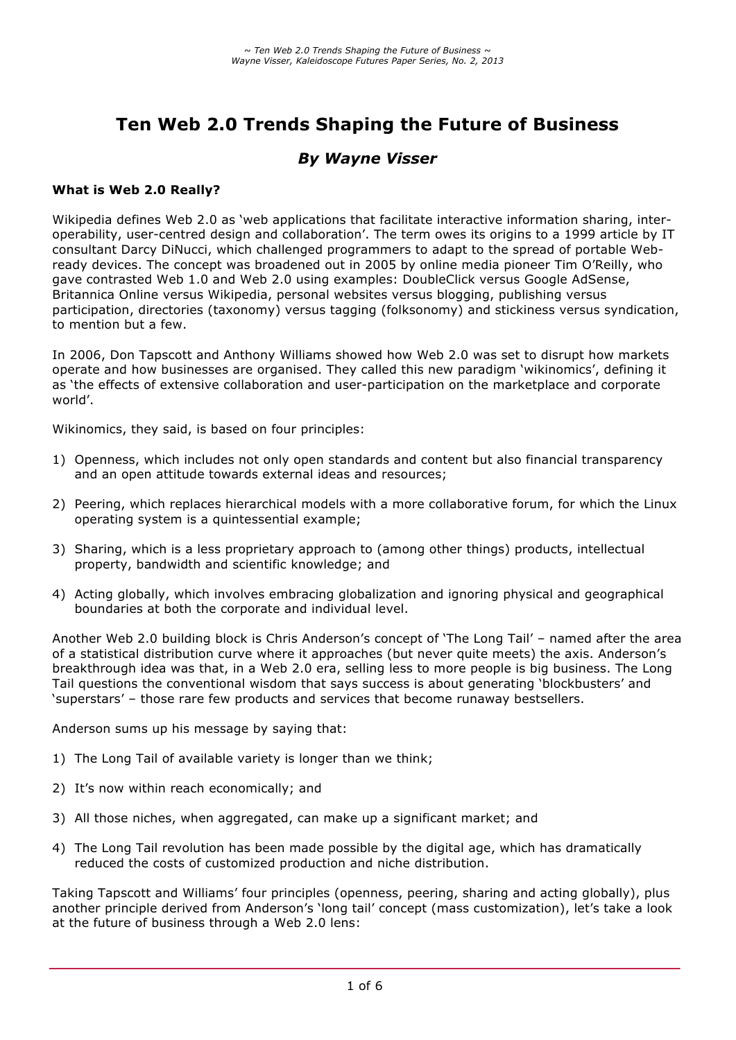# **Ten Web 2.0 Trends Shaping the Future of Business**

# *By Wayne Visser*

## **What is Web 2.0 Really?**

Wikipedia defines Web 2.0 as 'web applications that facilitate interactive information sharing, interoperability, user-centred design and collaboration'. The term owes its origins to a 1999 article by IT consultant Darcy DiNucci, which challenged programmers to adapt to the spread of portable Webready devices. The concept was broadened out in 2005 by online media pioneer Tim O'Reilly, who gave contrasted Web 1.0 and Web 2.0 using examples: DoubleClick versus Google AdSense, Britannica Online versus Wikipedia, personal websites versus blogging, publishing versus participation, directories (taxonomy) versus tagging (folksonomy) and stickiness versus syndication, to mention but a few.

In 2006, Don Tapscott and Anthony Williams showed how Web 2.0 was set to disrupt how markets operate and how businesses are organised. They called this new paradigm 'wikinomics', defining it as 'the effects of extensive collaboration and user-participation on the marketplace and corporate world'.

Wikinomics, they said, is based on four principles:

- 1) Openness, which includes not only open standards and content but also financial transparency and an open attitude towards external ideas and resources;
- 2) Peering, which replaces hierarchical models with a more collaborative forum, for which the Linux operating system is a quintessential example;
- 3) Sharing, which is a less proprietary approach to (among other things) products, intellectual property, bandwidth and scientific knowledge; and
- 4) Acting globally, which involves embracing globalization and ignoring physical and geographical boundaries at both the corporate and individual level.

Another Web 2.0 building block is Chris Anderson's concept of 'The Long Tail' – named after the area of a statistical distribution curve where it approaches (but never quite meets) the axis. Anderson's breakthrough idea was that, in a Web 2.0 era, selling less to more people is big business. The Long Tail questions the conventional wisdom that says success is about generating 'blockbusters' and 'superstars' – those rare few products and services that become runaway bestsellers.

Anderson sums up his message by saying that:

- 1) The Long Tail of available variety is longer than we think;
- 2) It's now within reach economically; and
- 3) All those niches, when aggregated, can make up a significant market; and
- 4) The Long Tail revolution has been made possible by the digital age, which has dramatically reduced the costs of customized production and niche distribution.

Taking Tapscott and Williams' four principles (openness, peering, sharing and acting globally), plus another principle derived from Anderson's 'long tail' concept (mass customization), let's take a look at the future of business through a Web 2.0 lens: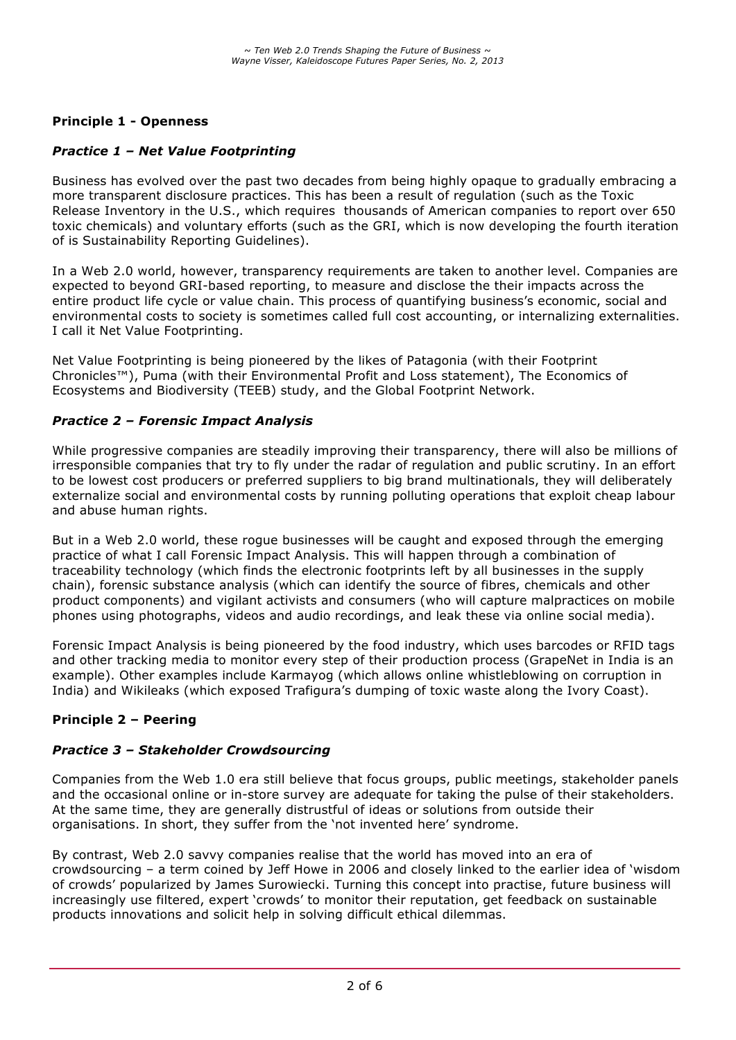## **Principle 1 - Openness**

## *Practice 1 – Net Value Footprinting*

Business has evolved over the past two decades from being highly opaque to gradually embracing a more transparent disclosure practices. This has been a result of regulation (such as the Toxic Release Inventory in the U.S., which requires thousands of American companies to report over 650 toxic chemicals) and voluntary efforts (such as the GRI, which is now developing the fourth iteration of is Sustainability Reporting Guidelines).

In a Web 2.0 world, however, transparency requirements are taken to another level. Companies are expected to beyond GRI-based reporting, to measure and disclose the their impacts across the entire product life cycle or value chain. This process of quantifying business's economic, social and environmental costs to society is sometimes called full cost accounting, or internalizing externalities. I call it Net Value Footprinting.

Net Value Footprinting is being pioneered by the likes of Patagonia (with their Footprint Chronicles™), Puma (with their Environmental Profit and Loss statement), The Economics of Ecosystems and Biodiversity (TEEB) study, and the Global Footprint Network.

## *Practice 2 – Forensic Impact Analysis*

While progressive companies are steadily improving their transparency, there will also be millions of irresponsible companies that try to fly under the radar of regulation and public scrutiny. In an effort to be lowest cost producers or preferred suppliers to big brand multinationals, they will deliberately externalize social and environmental costs by running polluting operations that exploit cheap labour and abuse human rights.

But in a Web 2.0 world, these rogue businesses will be caught and exposed through the emerging practice of what I call Forensic Impact Analysis. This will happen through a combination of traceability technology (which finds the electronic footprints left by all businesses in the supply chain), forensic substance analysis (which can identify the source of fibres, chemicals and other product components) and vigilant activists and consumers (who will capture malpractices on mobile phones using photographs, videos and audio recordings, and leak these via online social media).

Forensic Impact Analysis is being pioneered by the food industry, which uses barcodes or RFID tags and other tracking media to monitor every step of their production process (GrapeNet in India is an example). Other examples include Karmayog (which allows online whistleblowing on corruption in India) and Wikileaks (which exposed Trafigura's dumping of toxic waste along the Ivory Coast).

## **Principle 2 – Peering**

## *Practice 3 – Stakeholder Crowdsourcing*

Companies from the Web 1.0 era still believe that focus groups, public meetings, stakeholder panels and the occasional online or in-store survey are adequate for taking the pulse of their stakeholders. At the same time, they are generally distrustful of ideas or solutions from outside their organisations. In short, they suffer from the 'not invented here' syndrome.

By contrast, Web 2.0 savvy companies realise that the world has moved into an era of crowdsourcing – a term coined by Jeff Howe in 2006 and closely linked to the earlier idea of 'wisdom of crowds' popularized by James Surowiecki. Turning this concept into practise, future business will increasingly use filtered, expert 'crowds' to monitor their reputation, get feedback on sustainable products innovations and solicit help in solving difficult ethical dilemmas.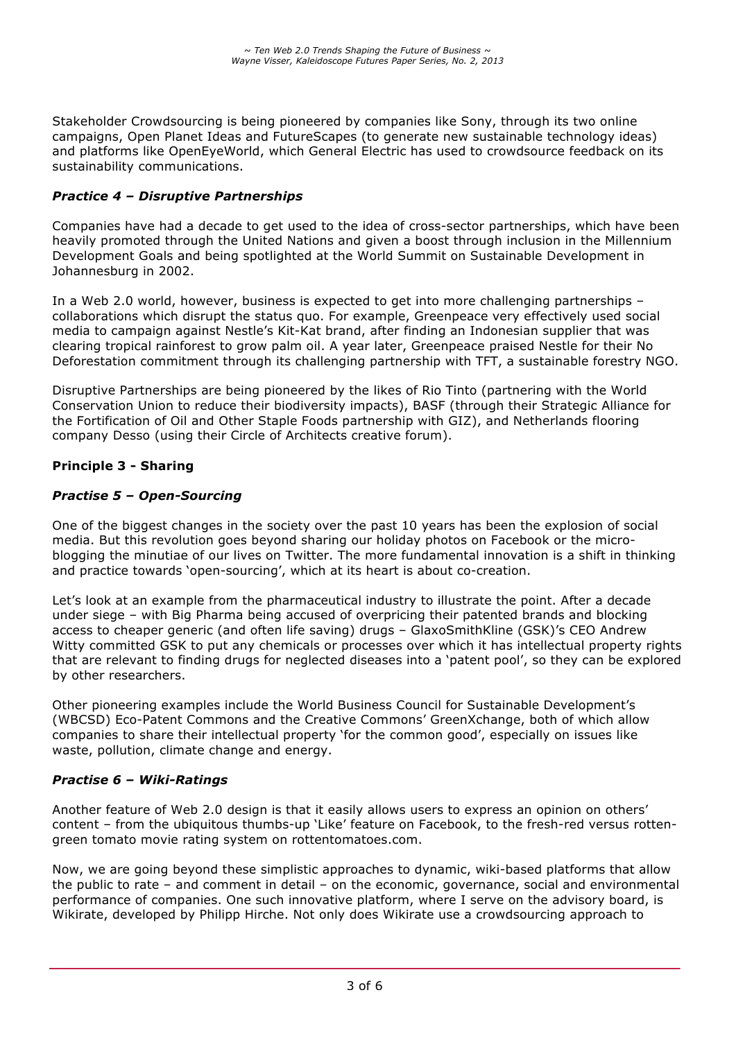Stakeholder Crowdsourcing is being pioneered by companies like Sony, through its two online campaigns, Open Planet Ideas and FutureScapes (to generate new sustainable technology ideas) and platforms like OpenEyeWorld, which General Electric has used to crowdsource feedback on its sustainability communications.

## *Practice 4 – Disruptive Partnerships*

Companies have had a decade to get used to the idea of cross-sector partnerships, which have been heavily promoted through the United Nations and given a boost through inclusion in the Millennium Development Goals and being spotlighted at the World Summit on Sustainable Development in Johannesburg in 2002.

In a Web 2.0 world, however, business is expected to get into more challenging partnerships – collaborations which disrupt the status quo. For example, Greenpeace very effectively used social media to campaign against Nestle's Kit-Kat brand, after finding an Indonesian supplier that was clearing tropical rainforest to grow palm oil. A year later, Greenpeace praised Nestle for their No Deforestation commitment through its challenging partnership with TFT, a sustainable forestry NGO.

Disruptive Partnerships are being pioneered by the likes of Rio Tinto (partnering with the World Conservation Union to reduce their biodiversity impacts), BASF (through their Strategic Alliance for the Fortification of Oil and Other Staple Foods partnership with GIZ), and Netherlands flooring company Desso (using their Circle of Architects creative forum).

# **Principle 3 - Sharing**

# *Practise 5 – Open-Sourcing*

One of the biggest changes in the society over the past 10 years has been the explosion of social media. But this revolution goes beyond sharing our holiday photos on Facebook or the microblogging the minutiae of our lives on Twitter. The more fundamental innovation is a shift in thinking and practice towards 'open-sourcing', which at its heart is about co-creation.

Let's look at an example from the pharmaceutical industry to illustrate the point. After a decade under siege – with Big Pharma being accused of overpricing their patented brands and blocking access to cheaper generic (and often life saving) drugs – GlaxoSmithKline (GSK)'s CEO Andrew Witty committed GSK to put any chemicals or processes over which it has intellectual property rights that are relevant to finding drugs for neglected diseases into a 'patent pool', so they can be explored by other researchers.

Other pioneering examples include the World Business Council for Sustainable Development's (WBCSD) Eco-Patent Commons and the Creative Commons' GreenXchange, both of which allow companies to share their intellectual property 'for the common good', especially on issues like waste, pollution, climate change and energy.

## *Practise 6 – Wiki-Ratings*

Another feature of Web 2.0 design is that it easily allows users to express an opinion on others' content – from the ubiquitous thumbs-up 'Like' feature on Facebook, to the fresh-red versus rottengreen tomato movie rating system on rottentomatoes.com.

Now, we are going beyond these simplistic approaches to dynamic, wiki-based platforms that allow the public to rate – and comment in detail – on the economic, governance, social and environmental performance of companies. One such innovative platform, where I serve on the advisory board, is Wikirate, developed by Philipp Hirche. Not only does Wikirate use a crowdsourcing approach to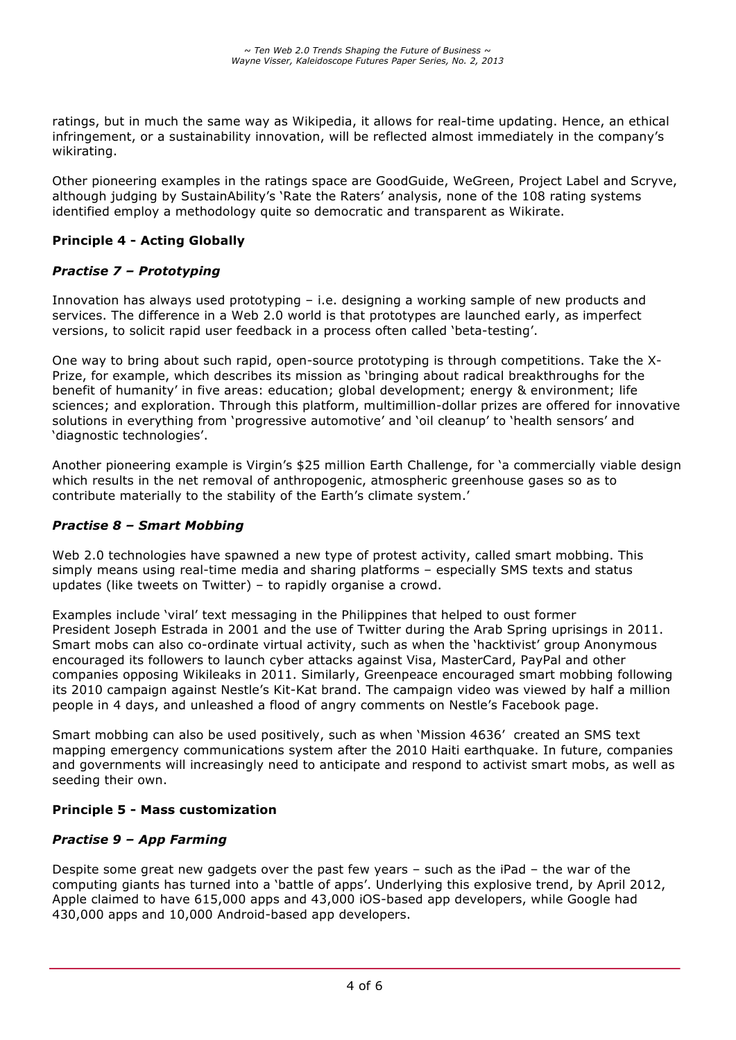ratings, but in much the same way as Wikipedia, it allows for real-time updating. Hence, an ethical infringement, or a sustainability innovation, will be reflected almost immediately in the company's wikirating.

Other pioneering examples in the ratings space are GoodGuide, WeGreen, Project Label and Scryve, although judging by SustainAbility's 'Rate the Raters' analysis, none of the 108 rating systems identified employ a methodology quite so democratic and transparent as Wikirate.

## **Principle 4 - Acting Globally**

## *Practise 7 – Prototyping*

Innovation has always used prototyping – i.e. designing a working sample of new products and services. The difference in a Web 2.0 world is that prototypes are launched early, as imperfect versions, to solicit rapid user feedback in a process often called 'beta-testing'.

One way to bring about such rapid, open-source prototyping is through competitions. Take the X-Prize, for example, which describes its mission as 'bringing about radical breakthroughs for the benefit of humanity' in five areas: education; global development; energy & environment; life sciences; and exploration. Through this platform, multimillion-dollar prizes are offered for innovative solutions in everything from 'progressive automotive' and 'oil cleanup' to 'health sensors' and 'diagnostic technologies'.

Another pioneering example is Virgin's \$25 million Earth Challenge, for 'a commercially viable design which results in the net removal of anthropogenic, atmospheric greenhouse gases so as to contribute materially to the stability of the Earth's climate system.'

## *Practise 8 – Smart Mobbing*

Web 2.0 technologies have spawned a new type of protest activity, called smart mobbing. This simply means using real-time media and sharing platforms – especially SMS texts and status updates (like tweets on Twitter) – to rapidly organise a crowd.

Examples include 'viral' text messaging in the Philippines that helped to oust former President Joseph Estrada in 2001 and the use of Twitter during the Arab Spring uprisings in 2011. Smart mobs can also co-ordinate virtual activity, such as when the 'hacktivist' group Anonymous encouraged its followers to launch cyber attacks against Visa, MasterCard, PayPal and other companies opposing Wikileaks in 2011. Similarly, Greenpeace encouraged smart mobbing following its 2010 campaign against Nestle's Kit-Kat brand. The campaign video was viewed by half a million people in 4 days, and unleashed a flood of angry comments on Nestle's Facebook page.

Smart mobbing can also be used positively, such as when 'Mission 4636' created an SMS text mapping emergency communications system after the 2010 Haiti earthquake. In future, companies and governments will increasingly need to anticipate and respond to activist smart mobs, as well as seeding their own.

## **Principle 5 - Mass customization**

## *Practise 9 – App Farming*

Despite some great new gadgets over the past few years – such as the iPad – the war of the computing giants has turned into a 'battle of apps'. Underlying this explosive trend, by April 2012, Apple claimed to have 615,000 apps and 43,000 iOS-based app developers, while Google had 430,000 apps and 10,000 Android-based app developers.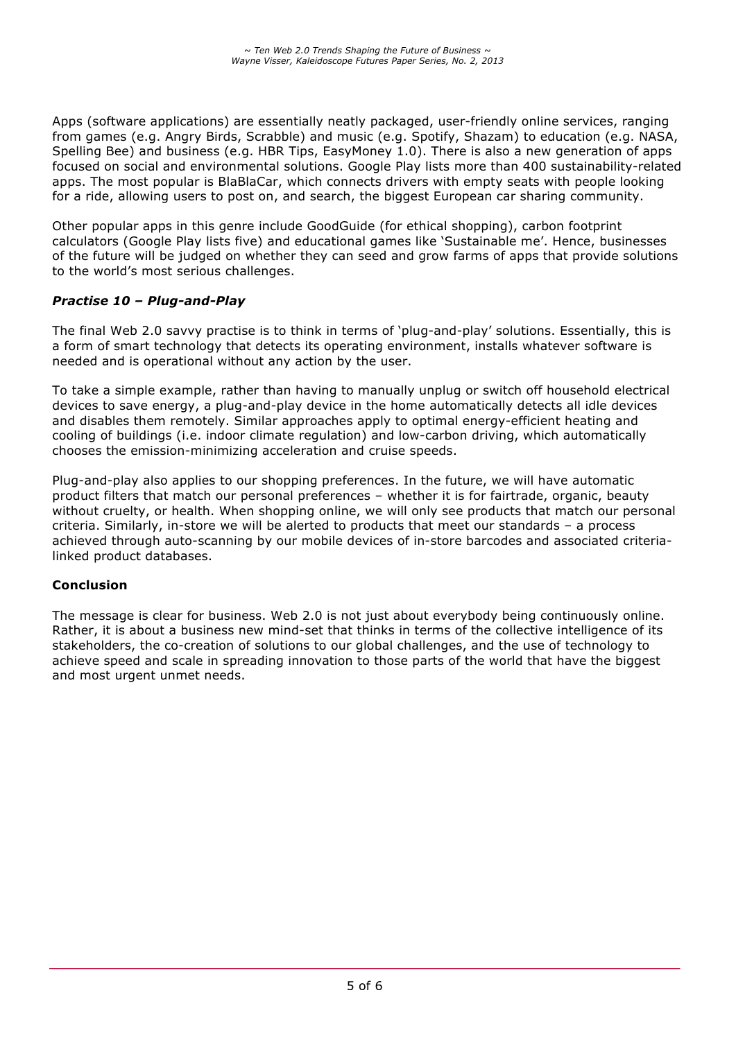Apps (software applications) are essentially neatly packaged, user-friendly online services, ranging from games (e.g. Angry Birds, Scrabble) and music (e.g. Spotify, Shazam) to education (e.g. NASA, Spelling Bee) and business (e.g. HBR Tips, EasyMoney 1.0). There is also a new generation of apps focused on social and environmental solutions. Google Play lists more than 400 sustainability-related apps. The most popular is BlaBlaCar, which connects drivers with empty seats with people looking for a ride, allowing users to post on, and search, the biggest European car sharing community.

Other popular apps in this genre include GoodGuide (for ethical shopping), carbon footprint calculators (Google Play lists five) and educational games like 'Sustainable me'. Hence, businesses of the future will be judged on whether they can seed and grow farms of apps that provide solutions to the world's most serious challenges.

# *Practise 10 – Plug-and-Play*

The final Web 2.0 savvy practise is to think in terms of 'plug-and-play' solutions. Essentially, this is a form of smart technology that detects its operating environment, installs whatever software is needed and is operational without any action by the user.

To take a simple example, rather than having to manually unplug or switch off household electrical devices to save energy, a plug-and-play device in the home automatically detects all idle devices and disables them remotely. Similar approaches apply to optimal energy-efficient heating and cooling of buildings (i.e. indoor climate regulation) and low-carbon driving, which automatically chooses the emission-minimizing acceleration and cruise speeds.

Plug-and-play also applies to our shopping preferences. In the future, we will have automatic product filters that match our personal preferences – whether it is for fairtrade, organic, beauty without cruelty, or health. When shopping online, we will only see products that match our personal criteria. Similarly, in-store we will be alerted to products that meet our standards – a process achieved through auto-scanning by our mobile devices of in-store barcodes and associated criterialinked product databases.

## **Conclusion**

The message is clear for business. Web 2.0 is not just about everybody being continuously online. Rather, it is about a business new mind-set that thinks in terms of the collective intelligence of its stakeholders, the co-creation of solutions to our global challenges, and the use of technology to achieve speed and scale in spreading innovation to those parts of the world that have the biggest and most urgent unmet needs.